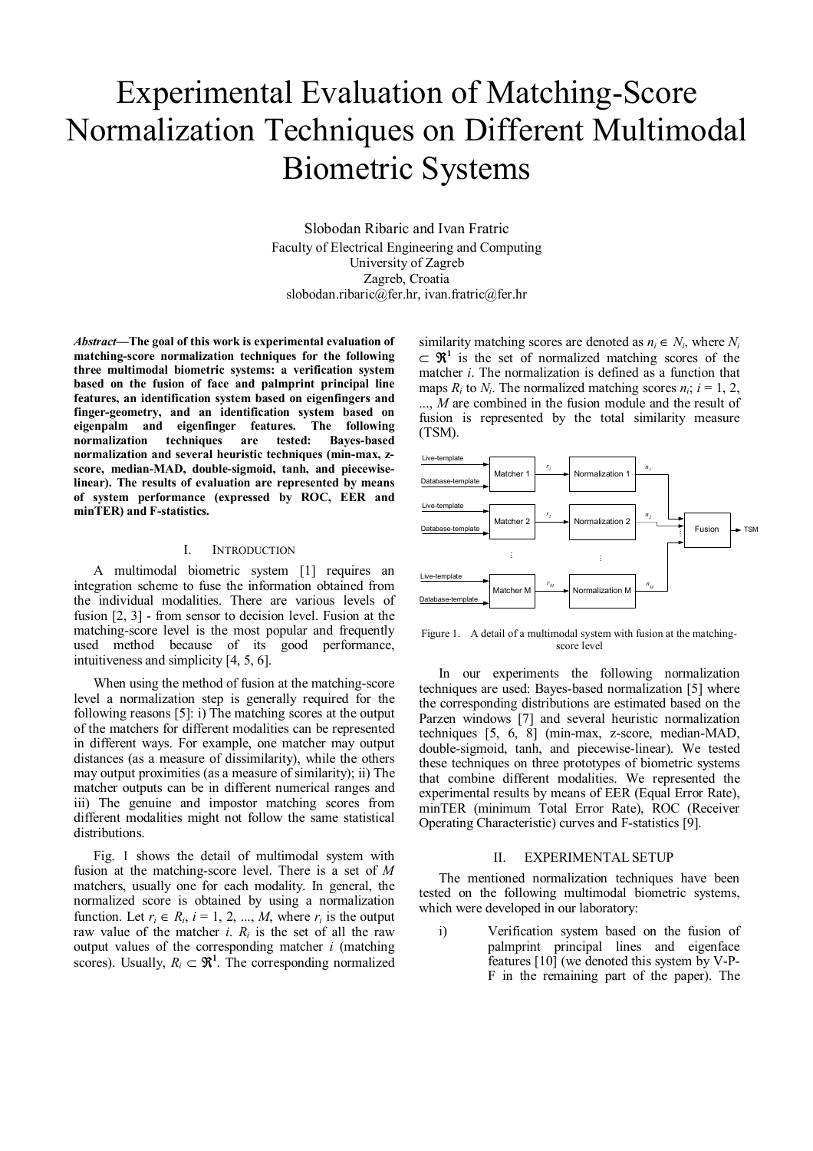# Experimental Evaluation of Matching-Score Normalization Techniques on Different Multimodal Biometric Systems

Slobodan Ribaric and Ivan Fratric Faculty of Electrical Engineering and Computing University of Zagreb Zagreb, Croatia slobodan.ribaric@fer.hr, ivan.fratric@fer.hr

*Abstract***—The goal of this work is experimental evaluation of matching-score normalization techniques for the following three multimodal biometric systems: a verification system based on the fusion of face and palmprint principal line features, an identification system based on eigenfingers and finger-geometry, and an identification system based on eigenpalm and eigenfinger features. The following normalization techniques are tested: Bayes-based normalization and several heuristic techniques (min-max, zscore, median-MAD, double-sigmoid, tanh, and piecewiselinear). The results of evaluation are represented by means of system performance (expressed by ROC, EER and minTER) and F-statistics.** 

## I. INTRODUCTION

A multimodal biometric system [1] requires an integration scheme to fuse the information obtained from the individual modalities. There are various levels of fusion [2, 3] - from sensor to decision level. Fusion at the matching-score level is the most popular and frequently used method because of its good performance, intuitiveness and simplicity [4, 5, 6].

When using the method of fusion at the matching-score level a normalization step is generally required for the following reasons [5]: i) The matching scores at the output of the matchers for different modalities can be represented in different ways. For example, one matcher may output distances (as a measure of dissimilarity), while the others may output proximities (as a measure of similarity); ii) The matcher outputs can be in different numerical ranges and iii) The genuine and impostor matching scores from different modalities might not follow the same statistical distributions.

Fig. 1 shows the detail of multimodal system with fusion at the matching-score level. There is a set of *M* matchers, usually one for each modality. In general, the normalized score is obtained by using a normalization function. Let  $r_i \in R_i$ ,  $i = 1, 2, ..., M$ , where  $r_i$  is the output raw value of the matcher *i*. *Ri* is the set of all the raw output values of the corresponding matcher *i* (matching scores). Usually,  $R_i \subset \mathbb{R}^1$ . The corresponding normalized similarity matching scores are denoted as  $n_i \in N_i$ , where  $N_i$  $\subset \mathfrak{R}^1$  is the set of normalized matching scores of the matcher *i*. The normalization is defined as a function that maps  $R_i$  to  $N_i$ . The normalized matching scores  $n_i$ ;  $i = 1, 2$ , ..., *M* are combined in the fusion module and the result of fusion is represented by the total similarity measure (TSM).



Figure 1. A detail of a multimodal system with fusion at the matchingscore level

In our experiments the following normalization techniques are used: Bayes-based normalization [5] where the corresponding distributions are estimated based on the Parzen windows [7] and several heuristic normalization techniques [5, 6, 8] (min-max, z-score, median-MAD, double-sigmoid, tanh, and piecewise-linear). We tested these techniques on three prototypes of biometric systems that combine different modalities. We represented the experimental results by means of EER (Equal Error Rate), minTER (minimum Total Error Rate), ROC (Receiver Operating Characteristic) curves and F-statistics [9].

## II. EXPERIMENTAL SETUP

The mentioned normalization techniques have been tested on the following multimodal biometric systems, which were developed in our laboratory:

i) Verification system based on the fusion of palmprint principal lines and eigenface features [10] (we denoted this system by V-P-F in the remaining part of the paper). The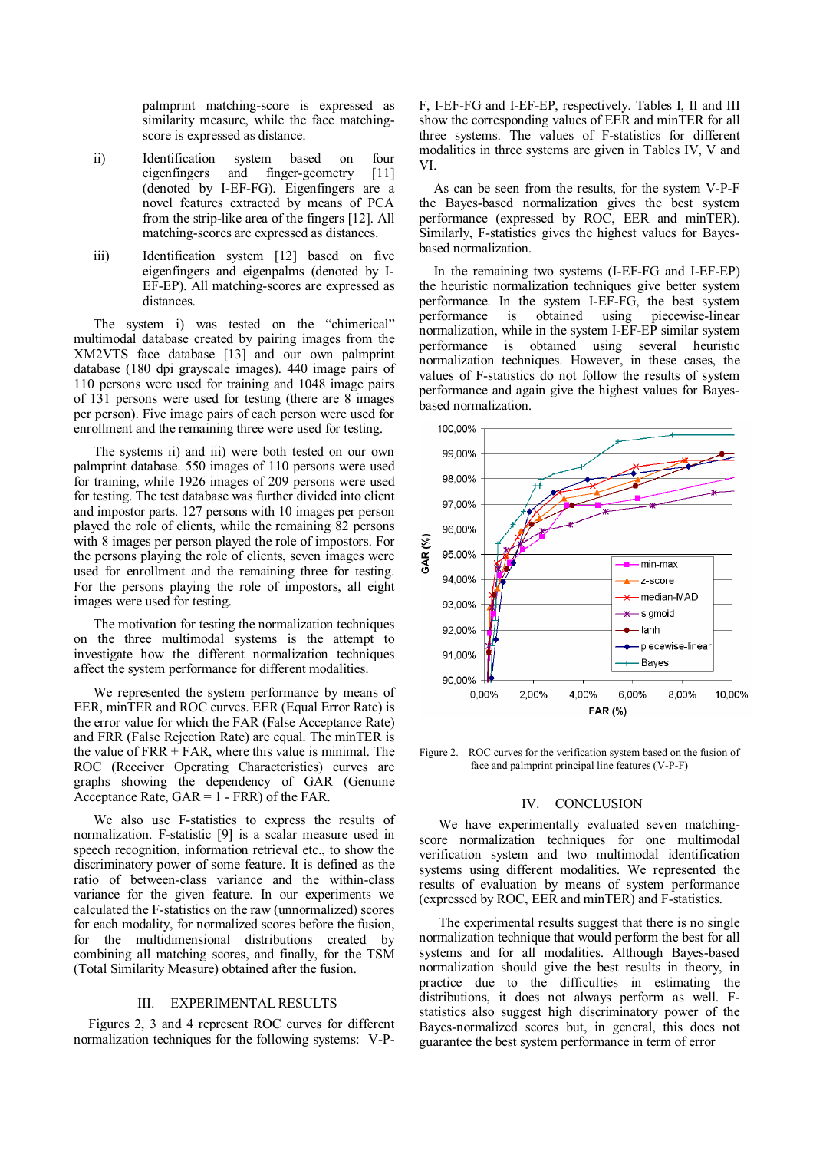palmprint matching-score is expressed as similarity measure, while the face matchingscore is expressed as distance.

- ii) Identification system based on four eigenfingers and finger-geometry [11] (denoted by I-EF-FG). Eigenfingers are a novel features extracted by means of PCA from the strip-like area of the fingers [12]. All matching-scores are expressed as distances.
- iii) Identification system [12] based on five eigenfingers and eigenpalms (denoted by I-EF-EP). All matching-scores are expressed as distances.

The system i) was tested on the "chimerical" multimodal database created by pairing images from the XM2VTS face database [13] and our own palmprint database (180 dpi grayscale images). 440 image pairs of 110 persons were used for training and 1048 image pairs of 131 persons were used for testing (there are 8 images per person). Five image pairs of each person were used for enrollment and the remaining three were used for testing.

The systems ii) and iii) were both tested on our own palmprint database. 550 images of 110 persons were used for training, while 1926 images of 209 persons were used for testing. The test database was further divided into client and impostor parts. 127 persons with 10 images per person played the role of clients, while the remaining 82 persons with 8 images per person played the role of impostors. For the persons playing the role of clients, seven images were used for enrollment and the remaining three for testing. For the persons playing the role of impostors, all eight images were used for testing.

The motivation for testing the normalization techniques on the three multimodal systems is the attempt to investigate how the different normalization techniques affect the system performance for different modalities.

We represented the system performance by means of EER, minTER and ROC curves. EER (Equal Error Rate) is the error value for which the FAR (False Acceptance Rate) and FRR (False Rejection Rate) are equal. The minTER is the value of  $FRR + FAR$ , where this value is minimal. The ROC (Receiver Operating Characteristics) curves are graphs showing the dependency of GAR (Genuine Acceptance Rate, GAR = 1 - FRR) of the FAR.

We also use F-statistics to express the results of normalization. F-statistic [9] is a scalar measure used in speech recognition, information retrieval etc., to show the discriminatory power of some feature. It is defined as the ratio of between-class variance and the within-class variance for the given feature. In our experiments we calculated the F-statistics on the raw (unnormalized) scores for each modality, for normalized scores before the fusion, for the multidimensional distributions created by combining all matching scores, and finally, for the TSM (Total Similarity Measure) obtained after the fusion.

# III. EXPERIMENTAL RESULTS

Figures 2, 3 and 4 represent ROC curves for different normalization techniques for the following systems: V-P-

F, I-EF-FG and I-EF-EP, respectively. Tables I, II and III show the corresponding values of EER and minTER for all three systems. The values of F-statistics for different modalities in three systems are given in Tables IV, V and VI.

As can be seen from the results, for the system V-P-F the Bayes-based normalization gives the best system performance (expressed by ROC, EER and minTER). Similarly, F-statistics gives the highest values for Bayesbased normalization.

In the remaining two systems (I-EF-FG and I-EF-EP) the heuristic normalization techniques give better system performance. In the system I-EF-FG, the best system performance is obtained using piecewise-linear normalization, while in the system I-EF-EP similar system performance is obtained using several heuristic normalization techniques. However, in these cases, the values of F-statistics do not follow the results of system performance and again give the highest values for Bayesbased normalization.



Figure 2. ROC curves for the verification system based on the fusion of face and palmprint principal line features (V-P-F)

### IV. CONCLUSION

We have experimentally evaluated seven matchingscore normalization techniques for one multimodal verification system and two multimodal identification systems using different modalities. We represented the results of evaluation by means of system performance (expressed by ROC, EER and minTER) and F-statistics.

The experimental results suggest that there is no single normalization technique that would perform the best for all systems and for all modalities. Although Bayes-based normalization should give the best results in theory, in practice due to the difficulties in estimating the distributions, it does not always perform as well. Fstatistics also suggest high discriminatory power of the Bayes-normalized scores but, in general, this does not guarantee the best system performance in term of error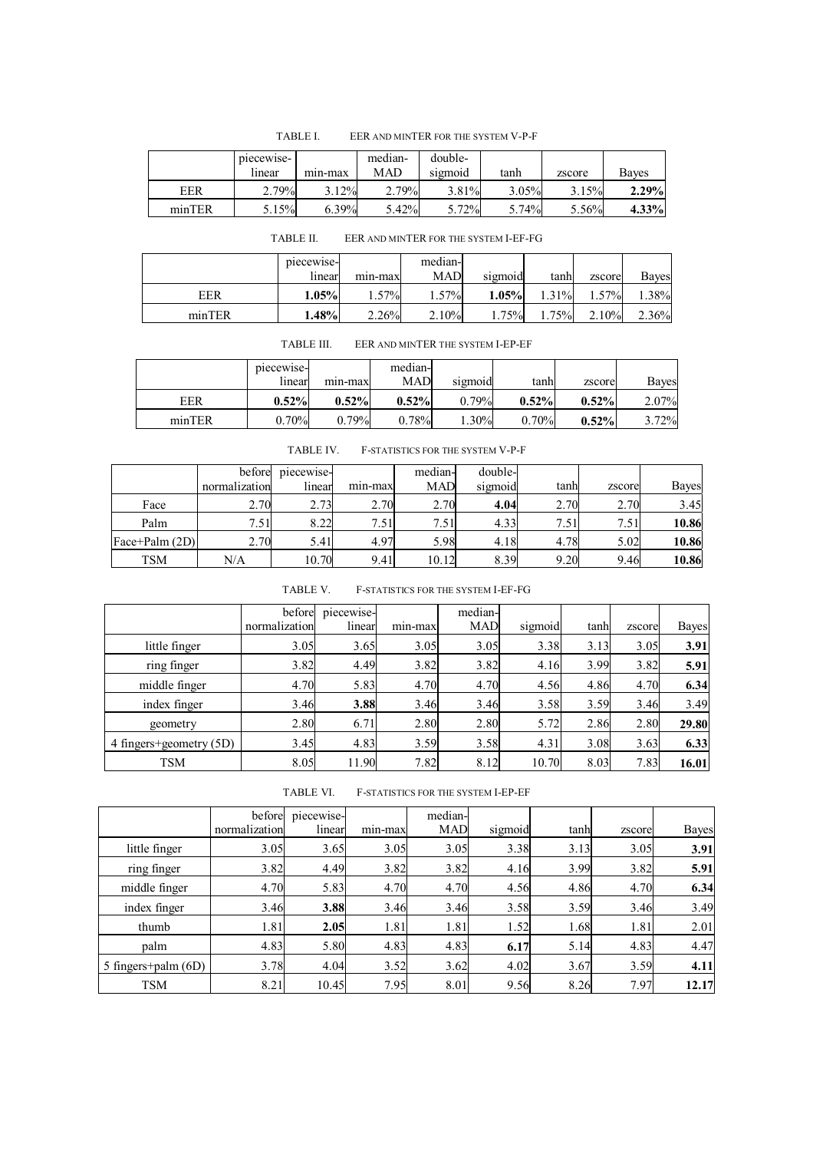|            | piecewise- |         | median- | double- |       |        |          |
|------------|------------|---------|---------|---------|-------|--------|----------|
|            | lınear     | min-max | MAD     | sigmoid | tanh  | zscore | Baves    |
| <b>EER</b> | 2.79%      | 3.12%   | 2.79%   | 3.81%   | 3.05% | 3.15%  | 2.29%    |
| minTER     | 5.15%      | 6.39%   | 5.42%   | 5.72%   | 5.74% | 5.56%  | $4.33\%$ |

TABLE I. EER AND MINTER FOR THE SYSTEM V-P-F

TABLE II. EER AND MINTER FOR THE SYSTEM I-EF-FG

|            | piecewise- |         | median-  |          |         |        |       |
|------------|------------|---------|----------|----------|---------|--------|-------|
|            | linear     | min-max | MAD      | sigmoid  | tanh    | zscore | Bayes |
| <b>EER</b> | $1.05\%$   | 57%     | $1.57\%$ | $1.05\%$ | $.31\%$ | 57%    | .38%  |
| minTER     | .48%       | 2.26%   | 2.10%    | 75%      | 1.75%   | 2.10%  | 2.36% |

TABLE III. EER AND MINTER THE SYSTEM I-EP-EF

|        | piecewise-<br>lınear | min-max  | median-<br><b>MAD</b> | sigmoid | tanh  | zscore | Bayes |
|--------|----------------------|----------|-----------------------|---------|-------|--------|-------|
| EER    | 0.52%                | 0.52%    | 0.52%                 | 0.79%   | 0.52% | 0.52%  | 2.07% |
| minTER | 0.70%                | $0.79\%$ | 0.78%                 | $.30\%$ | 0.70% | 0.52%  | 3.72% |

| <b>TABLE IV.</b> | F-STATISTICS FOR THE SYSTEM V-P-F |  |  |
|------------------|-----------------------------------|--|--|
|------------------|-----------------------------------|--|--|

|                         | before        | piecewise- |         | median-    | double- |      |        |              |
|-------------------------|---------------|------------|---------|------------|---------|------|--------|--------------|
|                         | normalization | linear     | min-max | <b>MAD</b> | sigmoid | tanh | zscore | <b>Bayes</b> |
| Face                    | 2.70          | 2.73       | 2.70    | 2.70       | 4.04    | 2.70 | 2.70   | 3.45         |
| Palm                    | 7.51          | 8.22       | 7.51    | 7.51       | 4.33    | 7.51 | 7.51   | 10.86        |
| $\text{Face+Palm (2D)}$ | 2.70          | 5.41       | 4.97    | 5.98       | 4.18    | 4.78 | 5.02   | 10.86        |
| TSM                     | N/A           | 10.70      | 9.41    | 10.12      | 8.39    | 9.20 | 9.46   | 10.86        |

| F-STATISTICS FOR THE SYSTEM I-EF-FG |
|-------------------------------------|
|                                     |

|                         | before<br>normalization | piecewise-<br>linear | min-max | median-<br><b>MAD</b> | sigmoid | tanh | zscore | Bayes |
|-------------------------|-------------------------|----------------------|---------|-----------------------|---------|------|--------|-------|
| little finger           | 3.05                    | 3.65                 | 3.05    | 3.05                  | 3.38    | 3.13 | 3.05   | 3.91  |
| ring finger             | 3.82                    | 4.49                 | 3.82    | 3.82                  | 4.16    | 3.99 | 3.82   | 5.91  |
| middle finger           | 4.70                    | 5.83                 | 4.70    | 4.70                  | 4.56    | 4.86 | 4.70   | 6.34  |
| index finger            | 3.46                    | 3.88                 | 3.46    | 3.46                  | 3.58    | 3.59 | 3.46   | 3.49  |
| geometry                | 2.80                    | 6.71                 | 2.80    | 2.80                  | 5.72    | 2.86 | 2.80   | 29.80 |
| 4 fingers+geometry (5D) | 3.45                    | 4.83                 | 3.59    | 3.58                  | 4.31    | 3.08 | 3.63   | 6.33  |
| <b>TSM</b>              | 8.05                    | 11.90                | 7.82    | 8.12                  | 10.70   | 8.03 | 7.83   | 16.01 |

TABLE VI. F-STATISTICS FOR THE SYSTEM I-EP-EF

|                       | before        | piecewise- |         | median-    |         |      |        |              |
|-----------------------|---------------|------------|---------|------------|---------|------|--------|--------------|
|                       | normalization | linear     | min-max | <b>MAD</b> | sigmoid | tanh | zscore | <b>Bayes</b> |
| little finger         | 3.05          | 3.65       | 3.05    | 3.05       | 3.38    | 3.13 | 3.05   | 3.91         |
| ring finger           | 3.82          | 4.49       | 3.82    | 3.82       | 4.16    | 3.99 | 3.82   | 5.91         |
| middle finger         | 4.70          | 5.83       | 4.70    | 4.70       | 4.56    | 4.86 | 4.70   | 6.34         |
| index finger          | 3.46          | 3.88       | 3.46    | 3.46       | 3.58    | 3.59 | 3.46   | 3.49         |
| thumb                 | 1.81          | 2.05       | 1.81    | 1.81       | 1.52    | 1.68 | 1.81   | 2.01         |
| palm                  | 4.83          | 5.80       | 4.83    | 4.83       | 6.17    | 5.14 | 4.83   | 4.47         |
| 5 fingers+palm $(6D)$ | 3.78          | 4.04       | 3.52    | 3.62       | 4.02    | 3.67 | 3.59   | 4.11         |
| TSM                   | 8.21          | 10.45      | 7.95    | 8.01       | 9.56    | 8.26 | 7.97   | 12.17        |